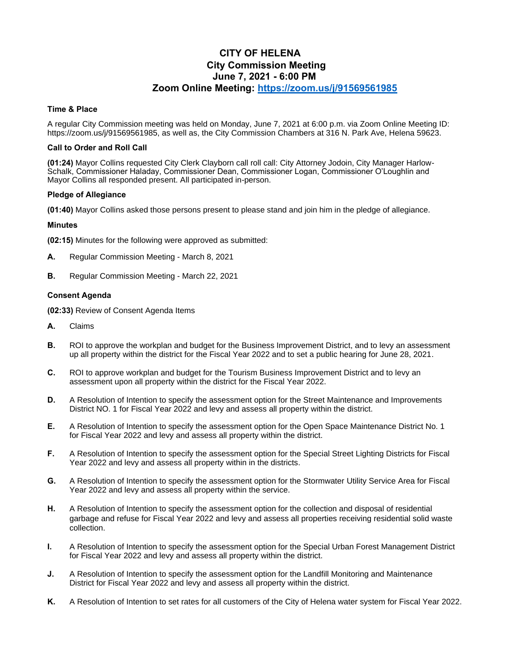# **CITY OF HELENA City Commission Meeting June 7, 2021 - 6:00 PM Zoom Online Meeting:<https://zoom.us/j/91569561985>**

## **Time & Place**

A regular City Commission meeting was held on Monday, June 7, 2021 at 6:00 p.m. via Zoom Online Meeting ID: https://zoom.us/j/91569561985, as well as, the City Commission Chambers at 316 N. Park Ave, Helena 59623.

## **Call to Order and Roll Call**

**(01:24)** Mayor Collins requested City Clerk Clayborn call roll call: City Attorney Jodoin, City Manager Harlow-Schalk, Commissioner Haladay, Commissioner Dean, Commissioner Logan, Commissioner O'Loughlin and Mayor Collins all responded present. All participated in-person.

### **Pledge of Allegiance**

**(01:40)** Mayor Collins asked those persons present to please stand and join him in the pledge of allegiance.

## **Minutes**

**(02:15)** Minutes for the following were approved as submitted:

- **A.** Regular Commission Meeting March 8, 2021
- **B.** Regular Commission Meeting March 22, 2021

## **Consent Agenda**

**(02:33)** Review of Consent Agenda Items

- **A.** Claims
- **B.** ROI to approve the workplan and budget for the Business Improvement District, and to levy an assessment up all property within the district for the Fiscal Year 2022 and to set a public hearing for June 28, 2021.
- **C.** ROI to approve workplan and budget for the Tourism Business Improvement District and to levy an assessment upon all property within the district for the Fiscal Year 2022.
- **D.** A Resolution of Intention to specify the assessment option for the Street Maintenance and Improvements District NO. 1 for Fiscal Year 2022 and levy and assess all property within the district.
- **E.** A Resolution of Intention to specify the assessment option for the Open Space Maintenance District No. 1 for Fiscal Year 2022 and levy and assess all property within the district.
- **F.** A Resolution of Intention to specify the assessment option for the Special Street Lighting Districts for Fiscal Year 2022 and levy and assess all property within in the districts.
- **G.** A Resolution of Intention to specify the assessment option for the Stormwater Utility Service Area for Fiscal Year 2022 and levy and assess all property within the service.
- **H.** A Resolution of Intention to specify the assessment option for the collection and disposal of residential garbage and refuse for Fiscal Year 2022 and levy and assess all properties receiving residential solid waste collection.
- **I.** A Resolution of Intention to specify the assessment option for the Special Urban Forest Management District for Fiscal Year 2022 and levy and assess all property within the district.
- **J.** A Resolution of Intention to specify the assessment option for the Landfill Monitoring and Maintenance District for Fiscal Year 2022 and levy and assess all property within the district.
- **K.** A Resolution of Intention to set rates for all customers of the City of Helena water system for Fiscal Year 2022.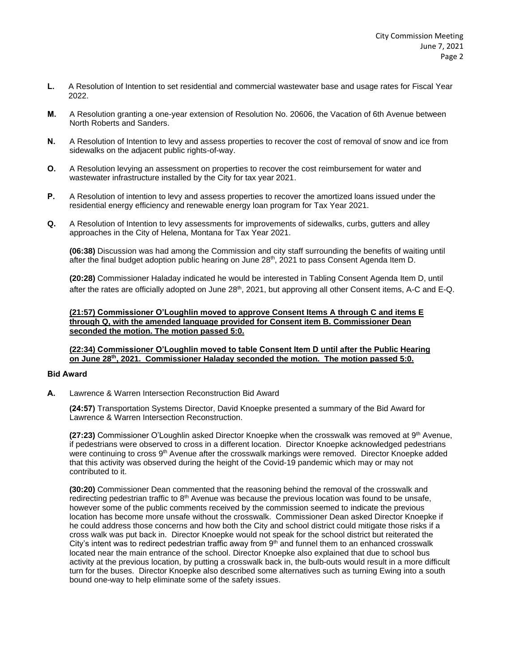- **L.** A Resolution of Intention to set residential and commercial wastewater base and usage rates for Fiscal Year 2022.
- **M.** A Resolution granting a one-year extension of Resolution No. 20606, the Vacation of 6th Avenue between North Roberts and Sanders.
- **N.** A Resolution of Intention to levy and assess properties to recover the cost of removal of snow and ice from sidewalks on the adjacent public rights-of-way.
- **O.** A Resolution levying an assessment on properties to recover the cost reimbursement for water and wastewater infrastructure installed by the City for tax year 2021.
- **P.** A Resolution of intention to levy and assess properties to recover the amortized loans issued under the residential energy efficiency and renewable energy loan program for Tax Year 2021.
- **Q.** A Resolution of Intention to levy assessments for improvements of sidewalks, curbs, gutters and alley approaches in the City of Helena, Montana for Tax Year 2021.

**(06:38)** Discussion was had among the Commission and city staff surrounding the benefits of waiting until after the final budget adoption public hearing on June 28<sup>th</sup>, 2021 to pass Consent Agenda Item D.

**(20:28)** Commissioner Haladay indicated he would be interested in Tabling Consent Agenda Item D, until after the rates are officially adopted on June 28<sup>th</sup>, 2021, but approving all other Consent items, A-C and E-Q.

## **(21:57) Commissioner O'Loughlin moved to approve Consent Items A through C and items E through Q, with the amended language provided for Consent item B. Commissioner Dean seconded the motion. The motion passed 5:0.**

## **(22:34) Commissioner O'Loughlin moved to table Consent Item D until after the Public Hearing on June 28th, 2021. Commissioner Haladay seconded the motion. The motion passed 5:0.**

### **Bid Award**

**A.** Lawrence & Warren Intersection Reconstruction Bid Award

**(24:57)** Transportation Systems Director, David Knoepke presented a summary of the Bid Award for Lawrence & Warren Intersection Reconstruction.

**(27:23)** Commissioner O'Loughlin asked Director Knoepke when the crosswalk was removed at 9<sup>th</sup> Avenue, if pedestrians were observed to cross in a different location. Director Knoepke acknowledged pedestrians were continuing to cross  $9<sup>th</sup>$  Avenue after the crosswalk markings were removed. Director Knoepke added that this activity was observed during the height of the Covid-19 pandemic which may or may not contributed to it.

**(30:20)** Commissioner Dean commented that the reasoning behind the removal of the crosswalk and redirecting pedestrian traffic to  $8<sup>th</sup>$  Avenue was because the previous location was found to be unsafe, however some of the public comments received by the commission seemed to indicate the previous location has become more unsafe without the crosswalk. Commissioner Dean asked Director Knoepke if he could address those concerns and how both the City and school district could mitigate those risks if a cross walk was put back in. Director Knoepke would not speak for the school district but reiterated the City's intent was to redirect pedestrian traffic away from  $9<sup>th</sup>$  and funnel them to an enhanced crosswalk located near the main entrance of the school. Director Knoepke also explained that due to school bus activity at the previous location, by putting a crosswalk back in, the bulb-outs would result in a more difficult turn for the buses. Director Knoepke also described some alternatives such as turning Ewing into a south bound one-way to help eliminate some of the safety issues.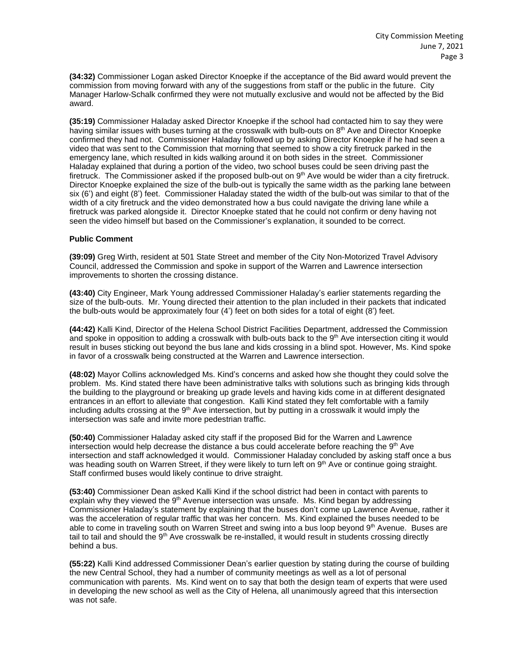**(34:32)** Commissioner Logan asked Director Knoepke if the acceptance of the Bid award would prevent the commission from moving forward with any of the suggestions from staff or the public in the future. City Manager Harlow-Schalk confirmed they were not mutually exclusive and would not be affected by the Bid award.

**(35:19)** Commissioner Haladay asked Director Knoepke if the school had contacted him to say they were having similar issues with buses turning at the crosswalk with bulb-outs on 8<sup>th</sup> Ave and Director Knoepke confirmed they had not. Commissioner Haladay followed up by asking Director Knoepke if he had seen a video that was sent to the Commission that morning that seemed to show a city firetruck parked in the emergency lane, which resulted in kids walking around it on both sides in the street. Commissioner Haladay explained that during a portion of the video, two school buses could be seen driving past the firetruck. The Commissioner asked if the proposed bulb-out on 9<sup>th</sup> Ave would be wider than a city firetruck. Director Knoepke explained the size of the bulb-out is typically the same width as the parking lane between six (6') and eight (8') feet. Commissioner Haladay stated the width of the bulb-out was similar to that of the width of a city firetruck and the video demonstrated how a bus could navigate the driving lane while a firetruck was parked alongside it. Director Knoepke stated that he could not confirm or deny having not seen the video himself but based on the Commissioner's explanation, it sounded to be correct.

### **Public Comment**

**(39:09)** Greg Wirth, resident at 501 State Street and member of the City Non-Motorized Travel Advisory Council, addressed the Commission and spoke in support of the Warren and Lawrence intersection improvements to shorten the crossing distance.

**(43:40)** City Engineer, Mark Young addressed Commissioner Haladay's earlier statements regarding the size of the bulb-outs. Mr. Young directed their attention to the plan included in their packets that indicated the bulb-outs would be approximately four (4') feet on both sides for a total of eight (8') feet.

**(44:42)** Kalli Kind, Director of the Helena School District Facilities Department, addressed the Commission and spoke in opposition to adding a crosswalk with bulb-outs back to the 9<sup>th</sup> Ave intersection citing it would result in buses sticking out beyond the bus lane and kids crossing in a blind spot. However, Ms. Kind spoke in favor of a crosswalk being constructed at the Warren and Lawrence intersection.

**(48:02)** Mayor Collins acknowledged Ms. Kind's concerns and asked how she thought they could solve the problem. Ms. Kind stated there have been administrative talks with solutions such as bringing kids through the building to the playground or breaking up grade levels and having kids come in at different designated entrances in an effort to alleviate that congestion. Kalli Kind stated they felt comfortable with a family including adults crossing at the  $9<sup>th</sup>$  Ave intersection, but by putting in a crosswalk it would imply the intersection was safe and invite more pedestrian traffic.

**(50:40)** Commissioner Haladay asked city staff if the proposed Bid for the Warren and Lawrence intersection would help decrease the distance a bus could accelerate before reaching the  $9<sup>th</sup>$  Ave intersection and staff acknowledged it would. Commissioner Haladay concluded by asking staff once a bus was heading south on Warren Street, if they were likely to turn left on 9<sup>th</sup> Ave or continue going straight. Staff confirmed buses would likely continue to drive straight.

**(53:40)** Commissioner Dean asked Kalli Kind if the school district had been in contact with parents to explain why they viewed the  $9<sup>th</sup>$  Avenue intersection was unsafe. Ms. Kind began by addressing Commissioner Haladay's statement by explaining that the buses don't come up Lawrence Avenue, rather it was the acceleration of regular traffic that was her concern. Ms. Kind explained the buses needed to be able to come in traveling south on Warren Street and swing into a bus loop beyond 9<sup>th</sup> Avenue. Buses are tail to tail and should the 9<sup>th</sup> Ave crosswalk be re-installed, it would result in students crossing directly behind a bus.

**(55:22)** Kalli Kind addressed Commissioner Dean's earlier question by stating during the course of building the new Central School, they had a number of community meetings as well as a lot of personal communication with parents. Ms. Kind went on to say that both the design team of experts that were used in developing the new school as well as the City of Helena, all unanimously agreed that this intersection was not safe.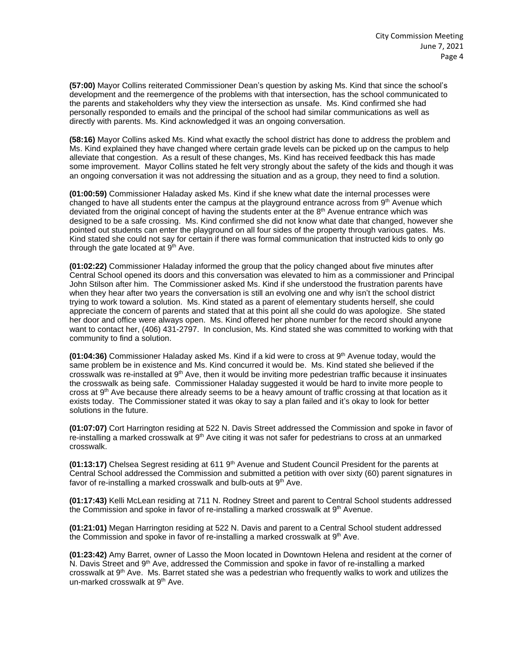**(57:00)** Mayor Collins reiterated Commissioner Dean's question by asking Ms. Kind that since the school's development and the reemergence of the problems with that intersection, has the school communicated to the parents and stakeholders why they view the intersection as unsafe. Ms. Kind confirmed she had personally responded to emails and the principal of the school had similar communications as well as directly with parents. Ms. Kind acknowledged it was an ongoing conversation.

**(58:16)** Mayor Collins asked Ms. Kind what exactly the school district has done to address the problem and Ms. Kind explained they have changed where certain grade levels can be picked up on the campus to help alleviate that congestion. As a result of these changes, Ms. Kind has received feedback this has made some improvement. Mayor Collins stated he felt very strongly about the safety of the kids and though it was an ongoing conversation it was not addressing the situation and as a group, they need to find a solution.

**(01:00:59)** Commissioner Haladay asked Ms. Kind if she knew what date the internal processes were changed to have all students enter the campus at the playground entrance across from 9<sup>th</sup> Avenue which deviated from the original concept of having the students enter at the  $8<sup>th</sup>$  Avenue entrance which was designed to be a safe crossing. Ms. Kind confirmed she did not know what date that changed, however she pointed out students can enter the playground on all four sides of the property through various gates. Ms. Kind stated she could not say for certain if there was formal communication that instructed kids to only go through the gate located at  $9<sup>th</sup>$  Ave.

**(01:02:22)** Commissioner Haladay informed the group that the policy changed about five minutes after Central School opened its doors and this conversation was elevated to him as a commissioner and Principal John Stilson after him. The Commissioner asked Ms. Kind if she understood the frustration parents have when they hear after two years the conversation is still an evolving one and why isn't the school district trying to work toward a solution. Ms. Kind stated as a parent of elementary students herself, she could appreciate the concern of parents and stated that at this point all she could do was apologize. She stated her door and office were always open. Ms. Kind offered her phone number for the record should anyone want to contact her, (406) 431-2797. In conclusion, Ms. Kind stated she was committed to working with that community to find a solution.

**(01:04:36)** Commissioner Haladay asked Ms. Kind if a kid were to cross at 9 th Avenue today, would the same problem be in existence and Ms. Kind concurred it would be. Ms. Kind stated she believed if the crosswalk was re-installed at 9<sup>th</sup> Ave, then it would be inviting more pedestrian traffic because it insinuates the crosswalk as being safe. Commissioner Haladay suggested it would be hard to invite more people to cross at 9<sup>th</sup> Ave because there already seems to be a heavy amount of traffic crossing at that location as it exists today. The Commissioner stated it was okay to say a plan failed and it's okay to look for better solutions in the future.

**(01:07:07)** Cort Harrington residing at 522 N. Davis Street addressed the Commission and spoke in favor of re-installing a marked crosswalk at 9<sup>th</sup> Ave citing it was not safer for pedestrians to cross at an unmarked crosswalk.

**(01:13:17)** Chelsea Segrest residing at 611 9th Avenue and Student Council President for the parents at Central School addressed the Commission and submitted a petition with over sixty (60) parent signatures in favor of re-installing a marked crosswalk and bulb-outs at  $9<sup>th</sup>$  Ave.

**(01:17:43)** Kelli McLean residing at 711 N. Rodney Street and parent to Central School students addressed the Commission and spoke in favor of re-installing a marked crosswalk at  $9<sup>th</sup>$  Avenue.

**(01:21:01)** Megan Harrington residing at 522 N. Davis and parent to a Central School student addressed the Commission and spoke in favor of re-installing a marked crosswalk at  $9<sup>th</sup>$  Ave.

**(01:23:42)** Amy Barret, owner of Lasso the Moon located in Downtown Helena and resident at the corner of N. Davis Street and 9<sup>th</sup> Ave, addressed the Commission and spoke in favor of re-installing a marked crosswalk at 9<sup>th</sup> Ave. Ms. Barret stated she was a pedestrian who frequently walks to work and utilizes the un-marked crosswalk at 9<sup>th</sup> Ave.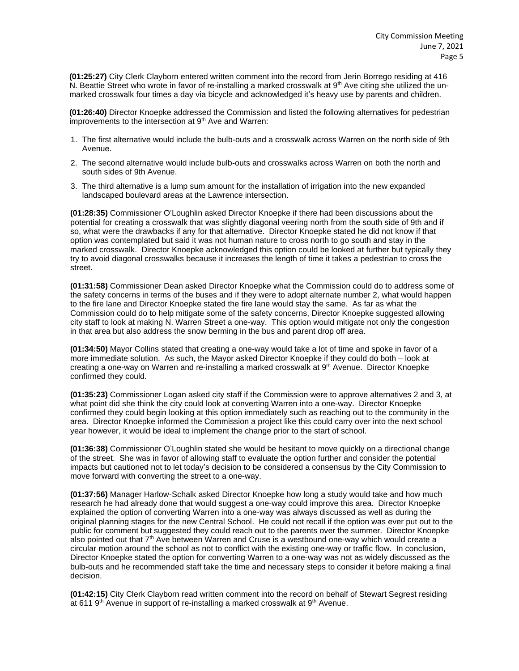**(01:25:27)** City Clerk Clayborn entered written comment into the record from Jerin Borrego residing at 416 N. Beattie Street who wrote in favor of re-installing a marked crosswalk at 9<sup>th</sup> Ave citing she utilized the unmarked crosswalk four times a day via bicycle and acknowledged it's heavy use by parents and children.

**(01:26:40)** Director Knoepke addressed the Commission and listed the following alternatives for pedestrian improvements to the intersection at 9<sup>th</sup> Ave and Warren:

- 1. The first alternative would include the bulb-outs and a crosswalk across Warren on the north side of 9th Avenue.
- 2. The second alternative would include bulb-outs and crosswalks across Warren on both the north and south sides of 9th Avenue.
- 3. The third alternative is a lump sum amount for the installation of irrigation into the new expanded landscaped boulevard areas at the Lawrence intersection.

**(01:28:35)** Commissioner O'Loughlin asked Director Knoepke if there had been discussions about the potential for creating a crosswalk that was slightly diagonal veering north from the south side of 9th and if so, what were the drawbacks if any for that alternative. Director Knoepke stated he did not know if that option was contemplated but said it was not human nature to cross north to go south and stay in the marked crosswalk. Director Knoepke acknowledged this option could be looked at further but typically they try to avoid diagonal crosswalks because it increases the length of time it takes a pedestrian to cross the street.

**(01:31:58)** Commissioner Dean asked Director Knoepke what the Commission could do to address some of the safety concerns in terms of the buses and if they were to adopt alternate number 2, what would happen to the fire lane and Director Knoepke stated the fire lane would stay the same. As far as what the Commission could do to help mitigate some of the safety concerns, Director Knoepke suggested allowing city staff to look at making N. Warren Street a one-way. This option would mitigate not only the congestion in that area but also address the snow berming in the bus and parent drop off area.

**(01:34:50)** Mayor Collins stated that creating a one-way would take a lot of time and spoke in favor of a more immediate solution. As such, the Mayor asked Director Knoepke if they could do both – look at creating a one-way on Warren and re-installing a marked crosswalk at 9th Avenue. Director Knoepke confirmed they could.

**(01:35:23)** Commissioner Logan asked city staff if the Commission were to approve alternatives 2 and 3, at what point did she think the city could look at converting Warren into a one-way. Director Knoepke confirmed they could begin looking at this option immediately such as reaching out to the community in the area. Director Knoepke informed the Commission a project like this could carry over into the next school year however, it would be ideal to implement the change prior to the start of school.

**(01:36:38)** Commissioner O'Loughlin stated she would be hesitant to move quickly on a directional change of the street. She was in favor of allowing staff to evaluate the option further and consider the potential impacts but cautioned not to let today's decision to be considered a consensus by the City Commission to move forward with converting the street to a one-way.

**(01:37:56)** Manager Harlow-Schalk asked Director Knoepke how long a study would take and how much research he had already done that would suggest a one-way could improve this area. Director Knoepke explained the option of converting Warren into a one-way was always discussed as well as during the original planning stages for the new Central School. He could not recall if the option was ever put out to the public for comment but suggested they could reach out to the parents over the summer. Director Knoepke also pointed out that 7<sup>th</sup> Ave between Warren and Cruse is a westbound one-way which would create a circular motion around the school as not to conflict with the existing one-way or traffic flow. In conclusion, Director Knoepke stated the option for converting Warren to a one-way was not as widely discussed as the bulb-outs and he recommended staff take the time and necessary steps to consider it before making a final decision.

**(01:42:15)** City Clerk Clayborn read written comment into the record on behalf of Stewart Segrest residing at 611 9<sup>th</sup> Avenue in support of re-installing a marked crosswalk at 9<sup>th</sup> Avenue.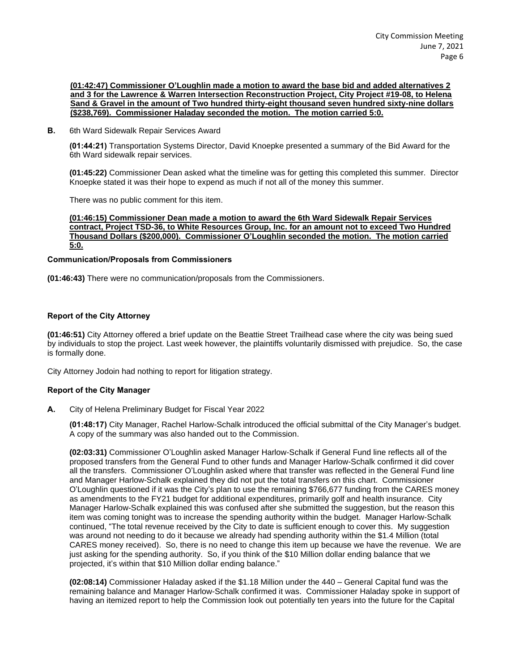**(01:42:47) Commissioner O'Loughlin made a motion to award the base bid and added alternatives 2 and 3 for the Lawrence & Warren Intersection Reconstruction Project, City Project #19-08, to Helena Sand & Gravel in the amount of Two hundred thirty-eight thousand seven hundred sixty-nine dollars (\$238,769). Commissioner Haladay seconded the motion. The motion carried 5:0.**

**B.** 6th Ward Sidewalk Repair Services Award

**(01:44:21)** Transportation Systems Director, David Knoepke presented a summary of the Bid Award for the 6th Ward sidewalk repair services.

**(01:45:22)** Commissioner Dean asked what the timeline was for getting this completed this summer. Director Knoepke stated it was their hope to expend as much if not all of the money this summer.

There was no public comment for this item.

**(01:46:15) Commissioner Dean made a motion to award the 6th Ward Sidewalk Repair Services contract, Project TSD-36, to White Resources Group, Inc. for an amount not to exceed Two Hundred Thousand Dollars (\$200,000). Commissioner O'Loughlin seconded the motion. The motion carried 5:0.**

### **Communication/Proposals from Commissioners**

**(01:46:43)** There were no communication/proposals from the Commissioners.

## **Report of the City Attorney**

**(01:46:51)** City Attorney offered a brief update on the Beattie Street Trailhead case where the city was being sued by individuals to stop the project. Last week however, the plaintiffs voluntarily dismissed with prejudice. So, the case is formally done.

City Attorney Jodoin had nothing to report for litigation strategy.

### **Report of the City Manager**

**A.** City of Helena Preliminary Budget for Fiscal Year 2022

**(01:48:17)** City Manager, Rachel Harlow-Schalk introduced the official submittal of the City Manager's budget. A copy of the summary was also handed out to the Commission.

**(02:03:31)** Commissioner O'Loughlin asked Manager Harlow-Schalk if General Fund line reflects all of the proposed transfers from the General Fund to other funds and Manager Harlow-Schalk confirmed it did cover all the transfers. Commissioner O'Loughlin asked where that transfer was reflected in the General Fund line and Manager Harlow-Schalk explained they did not put the total transfers on this chart. Commissioner O'Loughlin questioned if it was the City's plan to use the remaining \$766,677 funding from the CARES money as amendments to the FY21 budget for additional expenditures, primarily golf and health insurance. City Manager Harlow-Schalk explained this was confused after she submitted the suggestion, but the reason this item was coming tonight was to increase the spending authority within the budget. Manager Harlow-Schalk continued, "The total revenue received by the City to date is sufficient enough to cover this. My suggestion was around not needing to do it because we already had spending authority within the \$1.4 Million (total CARES money received). So, there is no need to change this item up because we have the revenue. We are just asking for the spending authority. So, if you think of the \$10 Million dollar ending balance that we projected, it's within that \$10 Million dollar ending balance."

**(02:08:14)** Commissioner Haladay asked if the \$1.18 Million under the 440 – General Capital fund was the remaining balance and Manager Harlow-Schalk confirmed it was. Commissioner Haladay spoke in support of having an itemized report to help the Commission look out potentially ten years into the future for the Capital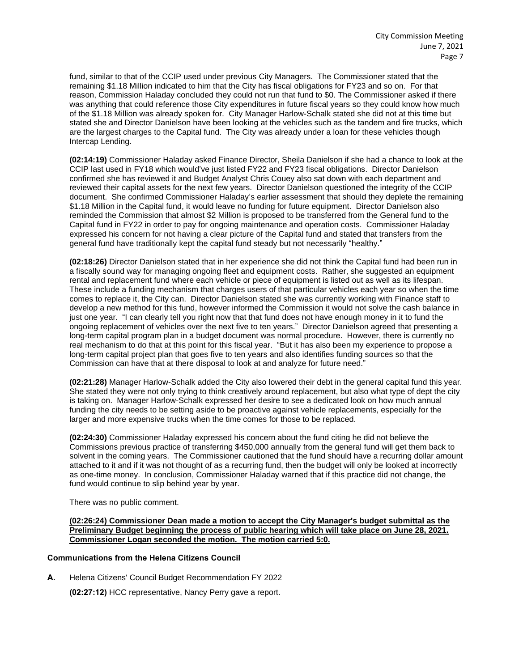fund, similar to that of the CCIP used under previous City Managers. The Commissioner stated that the remaining \$1.18 Million indicated to him that the City has fiscal obligations for FY23 and so on. For that reason, Commission Haladay concluded they could not run that fund to \$0. The Commissioner asked if there was anything that could reference those City expenditures in future fiscal years so they could know how much of the \$1.18 Million was already spoken for. City Manager Harlow-Schalk stated she did not at this time but stated she and Director Danielson have been looking at the vehicles such as the tandem and fire trucks, which are the largest charges to the Capital fund. The City was already under a loan for these vehicles though Intercap Lending.

**(02:14:19)** Commissioner Haladay asked Finance Director, Sheila Danielson if she had a chance to look at the CCIP last used in FY18 which would've just listed FY22 and FY23 fiscal obligations. Director Danielson confirmed she has reviewed it and Budget Analyst Chris Couey also sat down with each department and reviewed their capital assets for the next few years. Director Danielson questioned the integrity of the CCIP document. She confirmed Commissioner Haladay's earlier assessment that should they deplete the remaining \$1.18 Million in the Capital fund, it would leave no funding for future equipment. Director Danielson also reminded the Commission that almost \$2 Million is proposed to be transferred from the General fund to the Capital fund in FY22 in order to pay for ongoing maintenance and operation costs. Commissioner Haladay expressed his concern for not having a clear picture of the Capital fund and stated that transfers from the general fund have traditionally kept the capital fund steady but not necessarily "healthy."

**(02:18:26)** Director Danielson stated that in her experience she did not think the Capital fund had been run in a fiscally sound way for managing ongoing fleet and equipment costs. Rather, she suggested an equipment rental and replacement fund where each vehicle or piece of equipment is listed out as well as its lifespan. These include a funding mechanism that charges users of that particular vehicles each year so when the time comes to replace it, the City can. Director Danielson stated she was currently working with Finance staff to develop a new method for this fund, however informed the Commission it would not solve the cash balance in just one year. "I can clearly tell you right now that that fund does not have enough money in it to fund the ongoing replacement of vehicles over the next five to ten years." Director Danielson agreed that presenting a long-term capital program plan in a budget document was normal procedure. However, there is currently no real mechanism to do that at this point for this fiscal year. "But it has also been my experience to propose a long-term capital project plan that goes five to ten years and also identifies funding sources so that the Commission can have that at there disposal to look at and analyze for future need."

**(02:21:28)** Manager Harlow-Schalk added the City also lowered their debt in the general capital fund this year. She stated they were not only trying to think creatively around replacement, but also what type of dept the city is taking on. Manager Harlow-Schalk expressed her desire to see a dedicated look on how much annual funding the city needs to be setting aside to be proactive against vehicle replacements, especially for the larger and more expensive trucks when the time comes for those to be replaced.

**(02:24:30)** Commissioner Haladay expressed his concern about the fund citing he did not believe the Commissions previous practice of transferring \$450,000 annually from the general fund will get them back to solvent in the coming years. The Commissioner cautioned that the fund should have a recurring dollar amount attached to it and if it was not thought of as a recurring fund, then the budget will only be looked at incorrectly as one-time money. In conclusion, Commissioner Haladay warned that if this practice did not change, the fund would continue to slip behind year by year.

There was no public comment.

**(02:26:24) Commissioner Dean made a motion to accept the City Manager's budget submittal as the Preliminary Budget beginning the process of public hearing which will take place on June 28, 2021. Commissioner Logan seconded the motion. The motion carried 5:0.**

## **Communications from the Helena Citizens Council**

**A.** Helena Citizens' Council Budget Recommendation FY 2022

**(02:27:12)** HCC representative, Nancy Perry gave a report.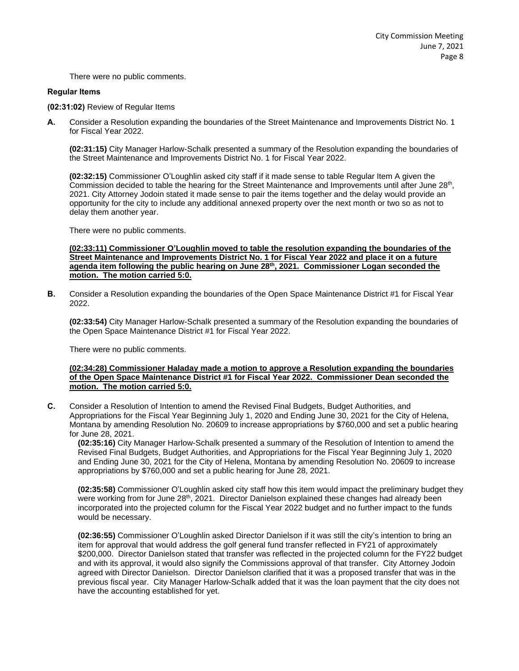There were no public comments.

#### **Regular Items**

**(02:31:02)** Review of Regular Items

**A.** Consider a Resolution expanding the boundaries of the Street Maintenance and Improvements District No. 1 for Fiscal Year 2022.

**(02:31:15)** City Manager Harlow-Schalk presented a summary of the Resolution expanding the boundaries of the Street Maintenance and Improvements District No. 1 for Fiscal Year 2022.

**(02:32:15)** Commissioner O'Loughlin asked city staff if it made sense to table Regular Item A given the Commission decided to table the hearing for the Street Maintenance and Improvements until after June 28<sup>th</sup>, 2021. City Attorney Jodoin stated it made sense to pair the items together and the delay would provide an opportunity for the city to include any additional annexed property over the next month or two so as not to delay them another year.

There were no public comments.

**(02:33:11) Commissioner O'Loughlin moved to table the resolution expanding the boundaries of the Street Maintenance and Improvements District No. 1 for Fiscal Year 2022 and place it on a future agenda item following the public hearing on June 28th, 2021. Commissioner Logan seconded the motion. The motion carried 5:0.**

**B.** Consider a Resolution expanding the boundaries of the Open Space Maintenance District #1 for Fiscal Year 2022.

**(02:33:54)** City Manager Harlow-Schalk presented a summary of the Resolution expanding the boundaries of the Open Space Maintenance District #1 for Fiscal Year 2022.

There were no public comments.

## **(02:34:28) Commissioner Haladay made a motion to approve a Resolution expanding the boundaries of the Open Space Maintenance District #1 for Fiscal Year 2022. Commissioner Dean seconded the motion. The motion carried 5:0.**

**C.** Consider a Resolution of Intention to amend the Revised Final Budgets, Budget Authorities, and Appropriations for the Fiscal Year Beginning July 1, 2020 and Ending June 30, 2021 for the City of Helena, Montana by amending Resolution No. 20609 to increase appropriations by \$760,000 and set a public hearing for June 28, 2021.

**(02:35:16)** City Manager Harlow-Schalk presented a summary of the Resolution of Intention to amend the Revised Final Budgets, Budget Authorities, and Appropriations for the Fiscal Year Beginning July 1, 2020 and Ending June 30, 2021 for the City of Helena, Montana by amending Resolution No. 20609 to increase appropriations by \$760,000 and set a public hearing for June 28, 2021.

**(02:35:58)** Commissioner O'Loughlin asked city staff how this item would impact the preliminary budget they were working from for June 28<sup>th</sup>, 2021. Director Danielson explained these changes had already been incorporated into the projected column for the Fiscal Year 2022 budget and no further impact to the funds would be necessary.

**(02:36:55)** Commissioner O'Loughlin asked Director Danielson if it was still the city's intention to bring an item for approval that would address the golf general fund transfer reflected in FY21 of approximately \$200,000. Director Danielson stated that transfer was reflected in the projected column for the FY22 budget and with its approval, it would also signify the Commissions approval of that transfer. City Attorney Jodoin agreed with Director Danielson. Director Danielson clarified that it was a proposed transfer that was in the previous fiscal year. City Manager Harlow-Schalk added that it was the loan payment that the city does not have the accounting established for yet.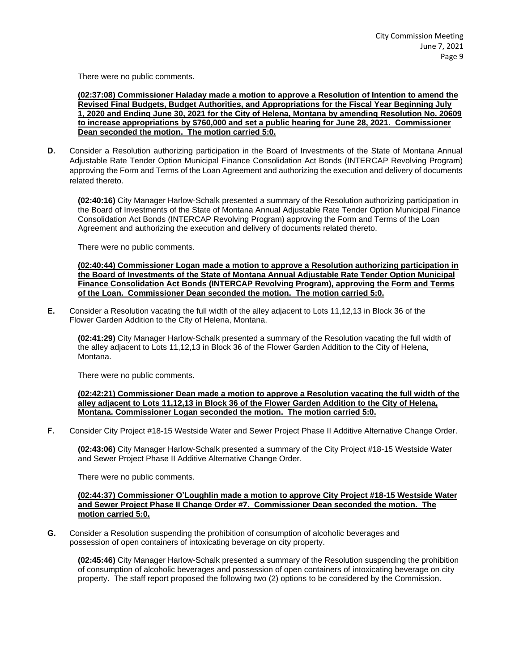There were no public comments.

**(02:37:08) Commissioner Haladay made a motion to approve a Resolution of Intention to amend the Revised Final Budgets, Budget Authorities, and Appropriations for the Fiscal Year Beginning July 1, 2020 and Ending June 30, 2021 for the City of Helena, Montana by amending Resolution No. 20609 to increase appropriations by \$760,000 and set a public hearing for June 28, 2021. Commissioner Dean seconded the motion. The motion carried 5:0.**

**D.** Consider a Resolution authorizing participation in the Board of Investments of the State of Montana Annual Adjustable Rate Tender Option Municipal Finance Consolidation Act Bonds (INTERCAP Revolving Program) approving the Form and Terms of the Loan Agreement and authorizing the execution and delivery of documents related thereto.

**(02:40:16)** City Manager Harlow-Schalk presented a summary of the Resolution authorizing participation in the Board of Investments of the State of Montana Annual Adjustable Rate Tender Option Municipal Finance Consolidation Act Bonds (INTERCAP Revolving Program) approving the Form and Terms of the Loan Agreement and authorizing the execution and delivery of documents related thereto.

There were no public comments.

**(02:40:44) Commissioner Logan made a motion to approve a Resolution authorizing participation in the Board of Investments of the State of Montana Annual Adjustable Rate Tender Option Municipal Finance Consolidation Act Bonds (INTERCAP Revolving Program), approving the Form and Terms of the Loan. Commissioner Dean seconded the motion. The motion carried 5:0.**

**E.** Consider a Resolution vacating the full width of the alley adjacent to Lots 11,12,13 in Block 36 of the Flower Garden Addition to the City of Helena, Montana.

**(02:41:29)** City Manager Harlow-Schalk presented a summary of the Resolution vacating the full width of the alley adjacent to Lots 11,12,13 in Block 36 of the Flower Garden Addition to the City of Helena, Montana.

There were no public comments.

#### **(02:42:21) Commissioner Dean made a motion to approve a Resolution vacating the full width of the alley adjacent to Lots 11,12,13 in Block 36 of the Flower Garden Addition to the City of Helena, Montana. Commissioner Logan seconded the motion. The motion carried 5:0.**

**F.** Consider City Project #18-15 Westside Water and Sewer Project Phase II Additive Alternative Change Order.

**(02:43:06)** City Manager Harlow-Schalk presented a summary of the City Project #18-15 Westside Water and Sewer Project Phase II Additive Alternative Change Order.

There were no public comments.

## **(02:44:37) Commissioner O'Loughlin made a motion to approve City Project #18-15 Westside Water and Sewer Project Phase II Change Order #7. Commissioner Dean seconded the motion. The motion carried 5:0.**

**G.** Consider a Resolution suspending the prohibition of consumption of alcoholic beverages and possession of open containers of intoxicating beverage on city property.

**(02:45:46)** City Manager Harlow-Schalk presented a summary of the Resolution suspending the prohibition of consumption of alcoholic beverages and possession of open containers of intoxicating beverage on city property. The staff report proposed the following two (2) options to be considered by the Commission.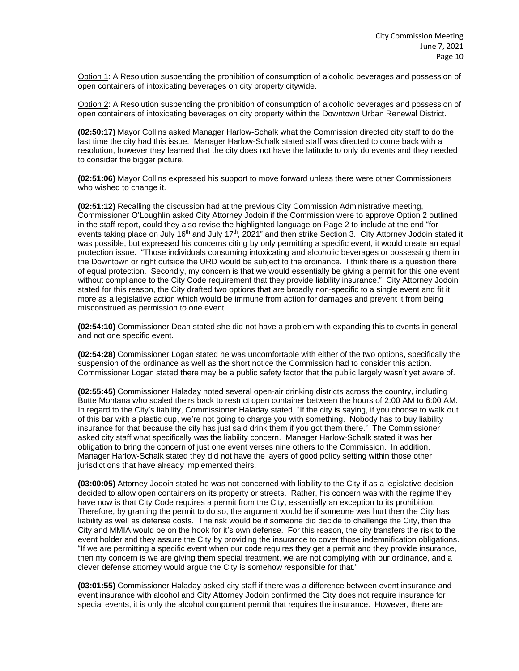Option 1: A Resolution suspending the prohibition of consumption of alcoholic beverages and possession of open containers of intoxicating beverages on city property citywide.

Option 2: A Resolution suspending the prohibition of consumption of alcoholic beverages and possession of open containers of intoxicating beverages on city property within the Downtown Urban Renewal District.

**(02:50:17)** Mayor Collins asked Manager Harlow-Schalk what the Commission directed city staff to do the last time the city had this issue. Manager Harlow-Schalk stated staff was directed to come back with a resolution, however they learned that the city does not have the latitude to only do events and they needed to consider the bigger picture.

**(02:51:06)** Mayor Collins expressed his support to move forward unless there were other Commissioners who wished to change it.

**(02:51:12)** Recalling the discussion had at the previous City Commission Administrative meeting, Commissioner O'Loughlin asked City Attorney Jodoin if the Commission were to approve Option 2 outlined in the staff report, could they also revise the highlighted language on Page 2 to include at the end "for events taking place on July 16<sup>th</sup> and July 17<sup>th</sup>, 2021" and then strike Section 3. City Attorney Jodoin stated it was possible, but expressed his concerns citing by only permitting a specific event, it would create an equal protection issue. "Those individuals consuming intoxicating and alcoholic beverages or possessing them in the Downtown or right outside the URD would be subject to the ordinance. I think there is a question there of equal protection. Secondly, my concern is that we would essentially be giving a permit for this one event without compliance to the City Code requirement that they provide liability insurance." City Attorney Jodoin stated for this reason, the City drafted two options that are broadly non-specific to a single event and fit it more as a legislative action which would be immune from action for damages and prevent it from being misconstrued as permission to one event.

**(02:54:10)** Commissioner Dean stated she did not have a problem with expanding this to events in general and not one specific event.

**(02:54:28)** Commissioner Logan stated he was uncomfortable with either of the two options, specifically the suspension of the ordinance as well as the short notice the Commission had to consider this action. Commissioner Logan stated there may be a public safety factor that the public largely wasn't yet aware of.

**(02:55:45)** Commissioner Haladay noted several open-air drinking districts across the country, including Butte Montana who scaled theirs back to restrict open container between the hours of 2:00 AM to 6:00 AM. In regard to the City's liability, Commissioner Haladay stated, "If the city is saying, if you choose to walk out of this bar with a plastic cup, we're not going to charge you with something. Nobody has to buy liability insurance for that because the city has just said drink them if you got them there." The Commissioner asked city staff what specifically was the liability concern. Manager Harlow-Schalk stated it was her obligation to bring the concern of just one event verses nine others to the Commission. In addition, Manager Harlow-Schalk stated they did not have the layers of good policy setting within those other jurisdictions that have already implemented theirs.

**(03:00:05)** Attorney Jodoin stated he was not concerned with liability to the City if as a legislative decision decided to allow open containers on its property or streets. Rather, his concern was with the regime they have now is that City Code requires a permit from the City, essentially an exception to its prohibition. Therefore, by granting the permit to do so, the argument would be if someone was hurt then the City has liability as well as defense costs. The risk would be if someone did decide to challenge the City, then the City and MMIA would be on the hook for it's own defense. For this reason, the city transfers the risk to the event holder and they assure the City by providing the insurance to cover those indemnification obligations. "If we are permitting a specific event when our code requires they get a permit and they provide insurance, then my concern is we are giving them special treatment, we are not complying with our ordinance, and a clever defense attorney would argue the City is somehow responsible for that."

**(03:01:55)** Commissioner Haladay asked city staff if there was a difference between event insurance and event insurance with alcohol and City Attorney Jodoin confirmed the City does not require insurance for special events, it is only the alcohol component permit that requires the insurance. However, there are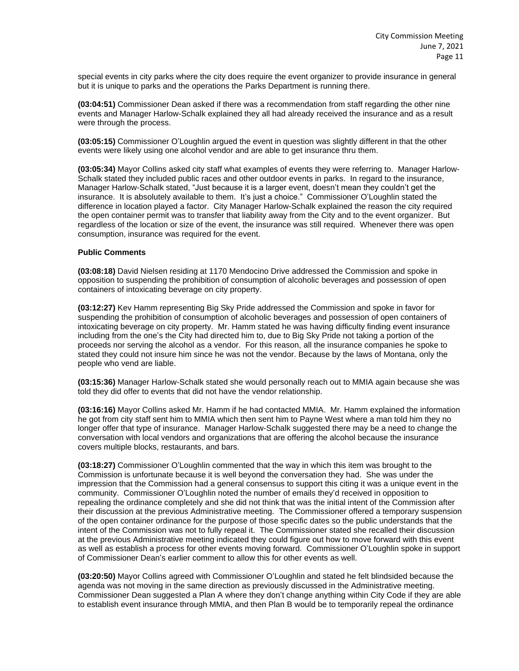special events in city parks where the city does require the event organizer to provide insurance in general but it is unique to parks and the operations the Parks Department is running there.

**(03:04:51)** Commissioner Dean asked if there was a recommendation from staff regarding the other nine events and Manager Harlow-Schalk explained they all had already received the insurance and as a result were through the process.

**(03:05:15)** Commissioner O'Loughlin argued the event in question was slightly different in that the other events were likely using one alcohol vendor and are able to get insurance thru them.

**(03:05:34)** Mayor Collins asked city staff what examples of events they were referring to. Manager Harlow-Schalk stated they included public races and other outdoor events in parks. In regard to the insurance, Manager Harlow-Schalk stated, "Just because it is a larger event, doesn't mean they couldn't get the insurance. It is absolutely available to them. It's just a choice." Commissioner O'Loughlin stated the difference in location played a factor. City Manager Harlow-Schalk explained the reason the city required the open container permit was to transfer that liability away from the City and to the event organizer. But regardless of the location or size of the event, the insurance was still required. Whenever there was open consumption, insurance was required for the event.

### **Public Comments**

**(03:08:18)** David Nielsen residing at 1170 Mendocino Drive addressed the Commission and spoke in opposition to suspending the prohibition of consumption of alcoholic beverages and possession of open containers of intoxicating beverage on city property.

**(03:12:27)** Kev Hamm representing Big Sky Pride addressed the Commission and spoke in favor for suspending the prohibition of consumption of alcoholic beverages and possession of open containers of intoxicating beverage on city property. Mr. Hamm stated he was having difficulty finding event insurance including from the one's the City had directed him to, due to Big Sky Pride not taking a portion of the proceeds nor serving the alcohol as a vendor. For this reason, all the insurance companies he spoke to stated they could not insure him since he was not the vendor. Because by the laws of Montana, only the people who vend are liable.

**(03:15:36)** Manager Harlow-Schalk stated she would personally reach out to MMIA again because she was told they did offer to events that did not have the vendor relationship.

**(03:16:16)** Mayor Collins asked Mr. Hamm if he had contacted MMIA. Mr. Hamm explained the information he got from city staff sent him to MMIA which then sent him to Payne West where a man told him they no longer offer that type of insurance. Manager Harlow-Schalk suggested there may be a need to change the conversation with local vendors and organizations that are offering the alcohol because the insurance covers multiple blocks, restaurants, and bars.

**(03:18:27)** Commissioner O'Loughlin commented that the way in which this item was brought to the Commission is unfortunate because it is well beyond the conversation they had. She was under the impression that the Commission had a general consensus to support this citing it was a unique event in the community. Commissioner O'Loughlin noted the number of emails they'd received in opposition to repealing the ordinance completely and she did not think that was the initial intent of the Commission after their discussion at the previous Administrative meeting. The Commissioner offered a temporary suspension of the open container ordinance for the purpose of those specific dates so the public understands that the intent of the Commission was not to fully repeal it. The Commissioner stated she recalled their discussion at the previous Administrative meeting indicated they could figure out how to move forward with this event as well as establish a process for other events moving forward. Commissioner O'Loughlin spoke in support of Commissioner Dean's earlier comment to allow this for other events as well.

**(03:20:50)** Mayor Collins agreed with Commissioner O'Loughlin and stated he felt blindsided because the agenda was not moving in the same direction as previously discussed in the Administrative meeting. Commissioner Dean suggested a Plan A where they don't change anything within City Code if they are able to establish event insurance through MMIA, and then Plan B would be to temporarily repeal the ordinance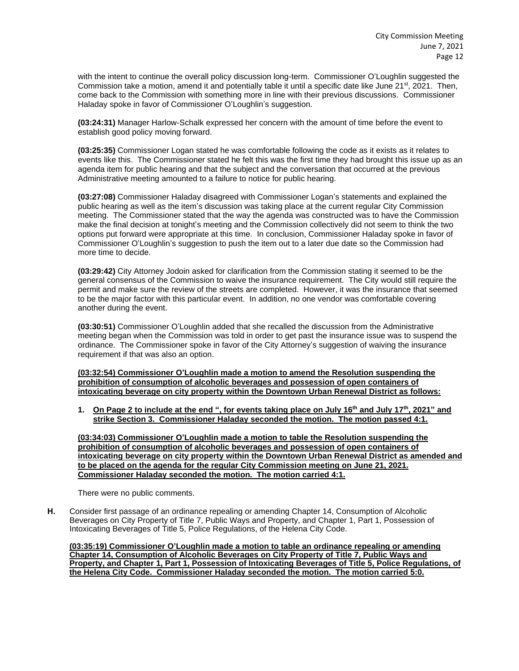with the intent to continue the overall policy discussion long-term. Commissioner O'Loughlin suggested the Commission take a motion, amend it and potentially table it until a specific date like June  $21^{st}$ , 2021. Then, come back to the Commission with something more in line with their previous discussions. Commissioner Haladay spoke in favor of Commissioner O'Loughlin's suggestion.

**(03:24:31)** Manager Harlow-Schalk expressed her concern with the amount of time before the event to establish good policy moving forward.

**(03:25:35)** Commissioner Logan stated he was comfortable following the code as it exists as it relates to events like this. The Commissioner stated he felt this was the first time they had brought this issue up as an agenda item for public hearing and that the subject and the conversation that occurred at the previous Administrative meeting amounted to a failure to notice for public hearing.

**(03:27:08)** Commissioner Haladay disagreed with Commissioner Logan's statements and explained the public hearing as well as the item's discussion was taking place at the current regular City Commission meeting. The Commissioner stated that the way the agenda was constructed was to have the Commission make the final decision at tonight's meeting and the Commission collectively did not seem to think the two options put forward were appropriate at this time. In conclusion, Commissioner Haladay spoke in favor of Commissioner O'Loughlin's suggestion to push the item out to a later due date so the Commission had more time to decide.

**(03:29:42)** City Attorney Jodoin asked for clarification from the Commission stating it seemed to be the general consensus of the Commission to waive the insurance requirement. The City would still require the permit and make sure the review of the streets are completed. However, it was the insurance that seemed to be the major factor with this particular event. In addition, no one vendor was comfortable covering another during the event.

**(03:30:51)** Commissioner O'Loughlin added that she recalled the discussion from the Administrative meeting began when the Commission was told in order to get past the insurance issue was to suspend the ordinance. The Commissioner spoke in favor of the City Attorney's suggestion of waiving the insurance requirement if that was also an option.

**(03:32:54) Commissioner O'Loughlin made a motion to amend the Resolution suspending the prohibition of consumption of alcoholic beverages and possession of open containers of intoxicating beverage on city property within the Downtown Urban Renewal District as follows:**

**1. On Page 2 to include at the end ", for events taking place on July 16th and July 17th, 2021" and strike Section 3. Commissioner Haladay seconded the motion. The motion passed 4:1.**

**(03:34:03) Commissioner O'Loughlin made a motion to table the Resolution suspending the prohibition of consumption of alcoholic beverages and possession of open containers of intoxicating beverage on city property within the Downtown Urban Renewal District as amended and to be placed on the agenda for the regular City Commission meeting on June 21, 2021. Commissioner Haladay seconded the motion. The motion carried 4:1.**

There were no public comments.

**H.** Consider first passage of an ordinance repealing or amending Chapter 14, Consumption of Alcoholic Beverages on City Property of Title 7, Public Ways and Property, and Chapter 1, Part 1, Possession of Intoxicating Beverages of Title 5, Police Regulations, of the Helena City Code.

**(03:35:19) Commissioner O'Loughlin made a motion to table an ordinance repealing or amending Chapter 14, Consumption of Alcoholic Beverages on City Property of Title 7, Public Ways and Property, and Chapter 1, Part 1, Possession of Intoxicating Beverages of Title 5, Police Regulations, of the Helena City Code. Commissioner Haladay seconded the motion. The motion carried 5:0.**